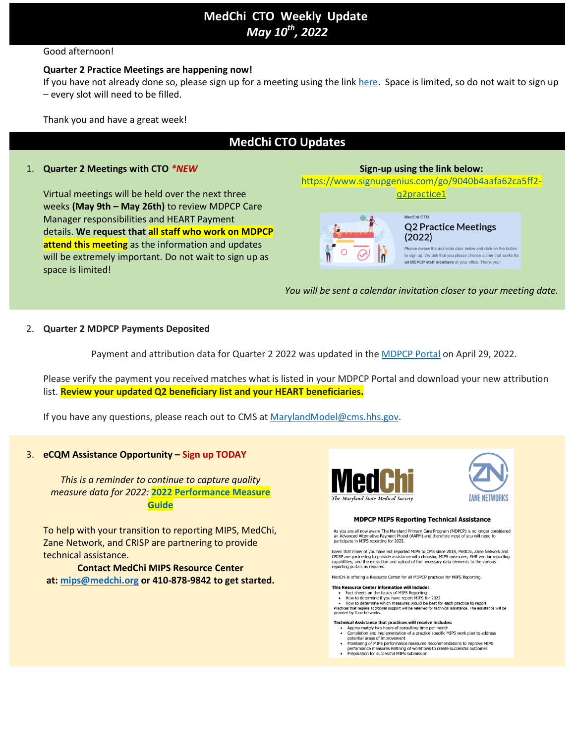# **MedChi  CTO  Weekly  Update** *May 10th , 2022*

# Good afternoon!

### **Quarter 2 Practice Meetings are happening now!**

If you have not already done so, please sign up for a meeting using the link [here.](https://www.signupgenius.com/go/9040b4aafa62ca5ff2-q2practice1) Space is limited, so do not wait to sign up – every slot will need to be filled.

Thank you and have a great week!

# **MedChi CTO Updates**

## 1. **Quarter 2 Meetings with CTO** *\*NEW*

Virtual meetings will be held over the next three weeks **(May 9th – May 26th)** to review MDPCP Care Manager responsibilities and HEART Payment details. **We request that all staff who work on MDPCP attend this meeting** as the information and updates will be extremely important. Do not wait to sign up as space is limited!

# **Sign-up using the link below:**

[https://www.signupgenius.com/go/9040b4aafa62ca5ff2](https://www.signupgenius.com/go/9040b4aafa62ca5ff2-q2practice1) [q2practice1](https://www.signupgenius.com/go/9040b4aafa62ca5ff2-q2practice1)

MedChi CTO

# **Q2 Practice Meetings**  $(2022)$

Please review the available slots below and click on the button to sign up. We ask that you please choose a time that works for all MDPCP staff members at your office. Thank you!

*You will be sent a calendar invitation closer to your meeting date.*

### 2. **Quarter 2 MDPCP Payments Deposited**

Payment and attribution data for Quarter 2 2022 was updated in the [MDPCP](https://portal.cms.gov/portal/) Portal on April 29, 2022.

Please verify the payment you received matches what is listed in your MDPCP Portal and download your new attribution list. **Review your updated Q2 beneficiary list and your HEART beneficiaries.**

If you have any questions, please reach out to CMS at [MarylandModel@cms.hhs.gov.](mailto:MarylandModel@cms.hhs.gov)

# 3. **eCQM Assistance Opportunity – Sign up TODAY**

*This is a reminder to continue to capture quality measure data for 2022:* **2022 [Performance](https://acrobat.adobe.com/link/track?uri=urn:aaid:scds:US:86f912d0-f900-3516-b43c-00af392b56a2) Measure [Guide](https://acrobat.adobe.com/link/track?uri=urn:aaid:scds:US:86f912d0-f900-3516-b43c-00af392b56a2)**

To help with your transition to reporting MIPS, MedChi, Zane Network, and CRISP are partnering to provide technical assistance.

**Contact MedChi MIPS Resource Center at: [mips@medchi.org](mailto:mips@medchi.org) or 410-878-9842 to get started.**





### **MDPCP MIPS Reporting Technical Assistance**

As you are all now aware The Maryland Primary Care Program (MDPCP) is no longer considered<br>an Advanced Alternative Payment Model (AAPM) and therefore most of you will need to participate in MIPS reporting for 2022.

Given that many of you have not reported MIPS to CMS since 2018, MedChi, Zane Network and Greater una many or you have not reported mines to Cins Since 2016, medicin, Zatie week<br>CRISP are partnering to provide assistance with choosing MIPS measures, EHR vendor re<br>capabilities, and the extraction and upload of t ures. EHR vendor rep

MedChi is offering a Resource Center for all MDPCP practices for MIPS Reporting.

- **This Resource Center information will include:**<br>• Fact sheets on the basics of MIPS Reporting<br>• How to determine if you have report MIPS for 2022
	-

How to determine which measures would be best for each practice to report Practices that require additional support will be referred for technical assiprovided by Zane Networks. stance. The assistance will be

#### Technical Assistance that practices will receive includes:

- Approximately two hours of consulting time per month<br>• Completion and implementation of a practice specific MIPS work plan to address
- potential areas of improvement
- → pourtuar areas or improvement<br>
Monitoring of MIPS performance measures Recommendations to improve MIPS<br>
performance measures Refining of workflows to create successful outcomes<br>
► Preparation for successful MIPS submiss
-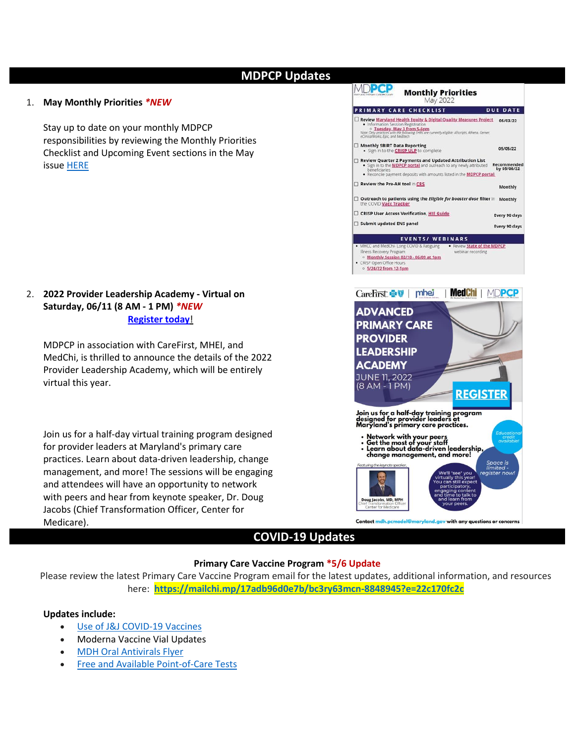# **MDPCP Updates**

### 1. **May Monthly Priorities** *\*NEW*

Stay up to date on your monthly MDPCP responsibilities by reviewing the Monthly Priorities Checklist and Upcoming Event sections in the May issue [HERE](https://acrobat.adobe.com/link/track?uri=urn:aaid:scds:US:051c0394-d029-3975-b102-abc8adeef463)

2. **2022 Provider Leadership Academy - Virtual on Saturday, 06/11 (8 AM - 1 PM)** *\*NEW* **[Register](https://carefirst.az1.qualtrics.com/jfe/form/SV_2hPhcSZWo6AzaPY) today**!

MDPCP in association with CareFirst, MHEI, and MedChi, is thrilled to announce the details of the 2022 Provider Leadership Academy, which will be entirely virtual this year.

Join us for a half-day virtual training program designed for provider leaders at Maryland's primary care practices. Learn about data-driven leadership, change management, and more! The sessions will be engaging and attendees will have an opportunity to network with peers and hear from keynote speaker, Dr. Doug Jacobs (Chief Transformation Officer, Center for Medicare).



# **COVID-19 Updates**

### **Primary Care Vaccine Program \*5/6 Update**

Please review the latest Primary Care Vaccine Program email for the latest updates, additional information, and resources here: **<https://mailchi.mp/17adb96d0e7b/bc3ry63mcn-8848945?e=22c170fc2c>**

### **Updates include:**

- Use of J&J [COVID-19](https://www.fda.gov/news-events/press-announcements/coronavirus-covid-19-update-fda-limits-use-janssen-covid-19-vaccine-certain-individuals) Vaccines
- Moderna Vaccine Vial Updates
- MDH Oral [Antivirals](https://mcusercontent.com/1bbefc55ea99dac6014b88ad6/files/29cfa462-a39f-5017-0426-ffef7d18a94d/MDH019134_02_Test_and_Treat_Flyer_HR_1_.pdf) Flyer
- Free and Available [Point-of-Care](https://docs.google.com/forms/d/e/1FAIpQLSeB6Bdkl0-JurAYxewCPGd8DUmOwWyryERDgo3DtVd8VnmSgw/viewform) Tests